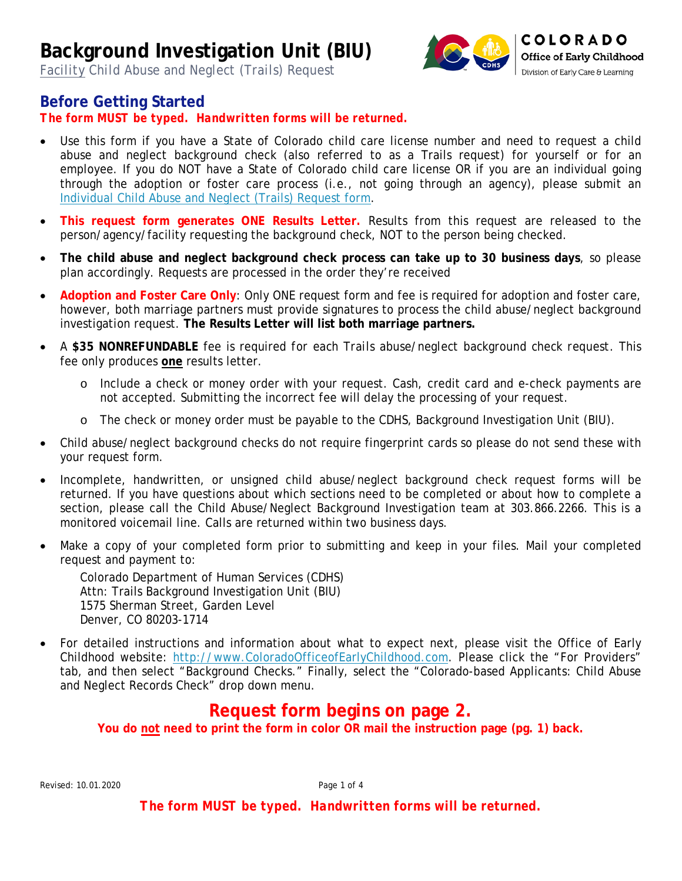*Facility Child Abuse and Neglect (Trails) Request*



### **Before Getting Started**

*The form MUST be typed. Handwritten forms will be returned.*

- Use this form if you have a State of Colorado child care license number and need to request a child abuse and neglect background check (also referred to as a Trails request) for yourself or for an employee. If you do NOT have a State of Colorado child care license OR if you are an individual going through the adoption or foster care process (i.e., not going through an agency), please submit an [Individual Child Abuse and Neglect \(Trails\) Request form.](http://dcfs.my.salesforce.com/sfc/p/410000012srR/a/41000000Cfvz/hsgwrNUiscdkir3QQ2yL3JJjjbm4tqkyQFaNej0HBVI)
- **This request form generates ONE Results Letter.** Results from this request are released to the person/agency/facility requesting the background check, NOT to the person being checked.
- **The child abuse and neglect background check process can take up to 30 business days**, so please plan accordingly. Requests are processed in the order they're received
- **Adoption and Foster Care Only**: Only ONE request form and fee is required for adoption and foster care, however, both marriage partners must provide signatures to process the child abuse/neglect background investigation request. **The Results Letter will list both marriage partners.**
- A **\$35 NONREFUNDABLE** fee is required *for each Trails abuse/neglect background check request*. This fee only produces **one** results letter.
	- o Include a check or money order with your request. Cash, credit card and e-check payments are not accepted. Submitting the incorrect fee will delay the processing of your request.
	- o The check or money order must be payable to the CDHS, Background Investigation Unit (BIU).
- Child abuse/neglect background checks do not require fingerprint cards so please do not send these with your request form.
- Incomplete, handwritten, or unsigned child abuse/neglect background check request forms will be returned. If you have questions about which sections need to be completed or about how to complete a section, please call the Child Abuse/Neglect Background Investigation team at 303.866.2266. This is a monitored voicemail line. Calls are returned within two business days.
- Make a copy of your completed form prior to submitting and keep in your files. Mail your completed request and payment to:

Colorado Department of Human Services (CDHS) Attn: Trails Background Investigation Unit (BIU) 1575 Sherman Street, Garden Level Denver, CO 80203-1714

• For detailed instructions and information about what to expect next, please visit the Office of Early Childhood website: [http://www.ColoradoOfficeofEarlyChildhood.com.](http://www.coloradoofficeofearlychildhood.com/) Please click the "For Providers" tab, and then select "Background Checks." Finally, select the "Colorado-based Applicants: Child Abuse and Neglect Records Check" drop down menu.

### **Request form begins on page 2.**

**You do not need to print the form in color OR mail the instruction page (pg. 1) back.**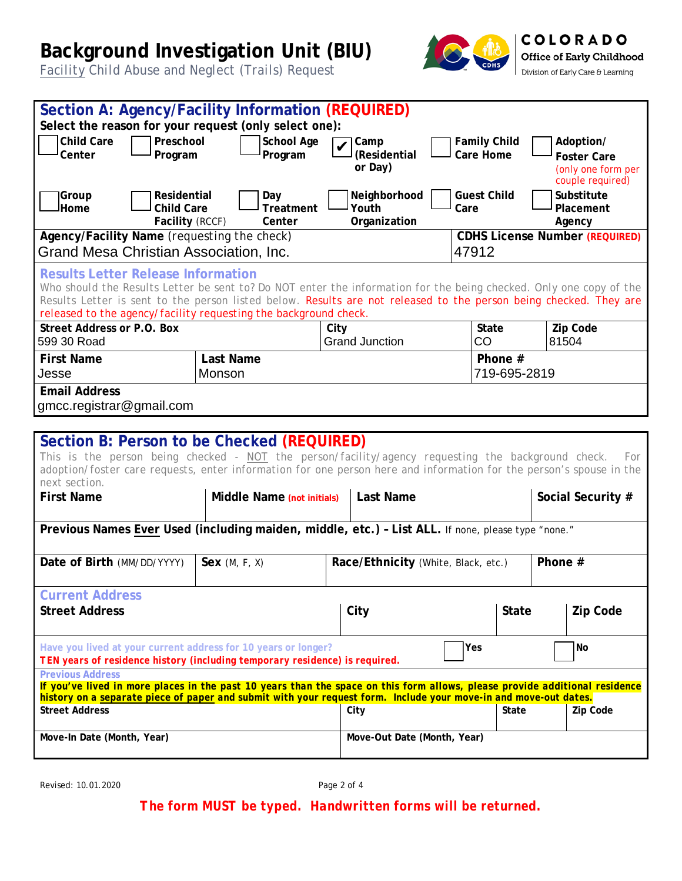*Facility Child Abuse and Neglect (Trails) Request*



| Section A: Agency/Facility Information (REQUIRED)                                                                                                                                                                                               |                         |                                     |                                  |                                          |  |  |
|-------------------------------------------------------------------------------------------------------------------------------------------------------------------------------------------------------------------------------------------------|-------------------------|-------------------------------------|----------------------------------|------------------------------------------|--|--|
| Select the reason for your request (only select one):                                                                                                                                                                                           |                         |                                     |                                  |                                          |  |  |
| <b>Child Care</b><br>Preschool<br>Center<br>Program                                                                                                                                                                                             | School Age<br>Program   | Camp<br>(Residential                | <b>Family Child</b><br>Care Home | Adoption/                                |  |  |
|                                                                                                                                                                                                                                                 |                         | or Day)                             |                                  | <b>Foster Care</b><br>(only one form per |  |  |
|                                                                                                                                                                                                                                                 |                         |                                     |                                  | couple required)                         |  |  |
| Residential<br> Group<br><b>Child Care</b><br>Home                                                                                                                                                                                              | Day<br><b>Treatment</b> | Neighborhood<br>Youth               | <b>Guest Child</b><br>Care       | Substitute<br>Placement                  |  |  |
| Facility (RCCF)                                                                                                                                                                                                                                 | Center                  | Organization                        |                                  | Agency                                   |  |  |
| Agency/Facility Name (requesting the check)                                                                                                                                                                                                     |                         |                                     |                                  | <b>CDHS License Number (REQUIRED)</b>    |  |  |
| Grand Mesa Christian Association, Inc.                                                                                                                                                                                                          |                         |                                     | 47912                            |                                          |  |  |
| <b>Results Letter Release Information</b>                                                                                                                                                                                                       |                         |                                     |                                  |                                          |  |  |
| Who should the Results Letter be sent to? Do NOT enter the information for the being checked. Only one copy of the<br>Results Letter is sent to the person listed below. Results are not released to the person being checked. They are         |                         |                                     |                                  |                                          |  |  |
| released to the agency/facility requesting the background check.                                                                                                                                                                                |                         |                                     |                                  |                                          |  |  |
| <b>Street Address or P.O. Box</b>                                                                                                                                                                                                               |                         | City                                | <b>State</b>                     | Zip Code                                 |  |  |
| 599 30 Road                                                                                                                                                                                                                                     |                         | <b>Grand Junction</b>               | CO                               | 81504                                    |  |  |
| <b>First Name</b>                                                                                                                                                                                                                               | Last Name               |                                     | Phone $#$                        |                                          |  |  |
| Jesse                                                                                                                                                                                                                                           | Monson                  |                                     | 719-695-2819                     |                                          |  |  |
| <b>Email Address</b><br>gmcc.registrar@gmail.com                                                                                                                                                                                                |                         |                                     |                                  |                                          |  |  |
|                                                                                                                                                                                                                                                 |                         |                                     |                                  |                                          |  |  |
| Section B: Person to be Checked (REQUIRED)                                                                                                                                                                                                      |                         |                                     |                                  |                                          |  |  |
| This is the person being checked - NOT the person/facility/agency requesting the background check.                                                                                                                                              |                         |                                     |                                  | For                                      |  |  |
| adoption/foster care requests, enter information for one person here and information for the person's spouse in the                                                                                                                             |                         |                                     |                                  |                                          |  |  |
| next section.<br><b>First Name</b><br>Middle Name (not initials)                                                                                                                                                                                |                         | <b>Last Name</b>                    |                                  | Social Security #                        |  |  |
|                                                                                                                                                                                                                                                 |                         |                                     |                                  |                                          |  |  |
| Previous Names Ever Used (including maiden, middle, etc.) - List ALL. If none, please type "none."                                                                                                                                              |                         |                                     |                                  |                                          |  |  |
| Date of Birth (MM/DD/YYYY)                                                                                                                                                                                                                      |                         | Race/Ethnicity (White, Black, etc.) |                                  | Phone #                                  |  |  |
|                                                                                                                                                                                                                                                 | Sex $(M, F, X)$         |                                     |                                  |                                          |  |  |
| <b>Current Address</b>                                                                                                                                                                                                                          |                         |                                     |                                  |                                          |  |  |
| <b>Street Address</b>                                                                                                                                                                                                                           |                         | City                                | <b>State</b>                     | Zip Code                                 |  |  |
|                                                                                                                                                                                                                                                 |                         |                                     |                                  |                                          |  |  |
| Have you lived at your current address for 10 years or longer?<br>Yes<br><b>No</b><br>TEN years of residence history (including temporary residence) is required.                                                                               |                         |                                     |                                  |                                          |  |  |
| <b>Previous Address</b>                                                                                                                                                                                                                         |                         |                                     |                                  |                                          |  |  |
| If you've lived in more places in the past 10 years than the space on this form allows, please provide additional residence<br>history on a separate piece of paper and submit with your request form. Include your move-in and move-out dates. |                         |                                     |                                  |                                          |  |  |
| <b>Street Address</b>                                                                                                                                                                                                                           |                         | City                                | State                            | Zip Code                                 |  |  |
| Move-In Date (Month, Year)                                                                                                                                                                                                                      |                         | Move-Out Date (Month, Year)         |                                  |                                          |  |  |
|                                                                                                                                                                                                                                                 |                         |                                     |                                  |                                          |  |  |

Revised: 10.01.2020 Page 2 of 4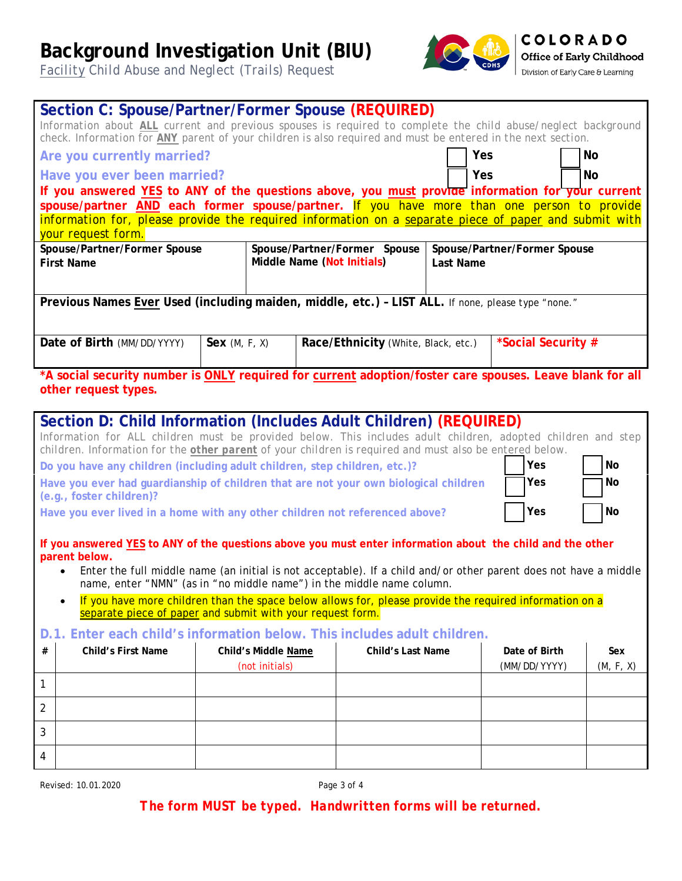*Facility Child Abuse and Neglect (Trails) Request*



**COLORADO** Office of Early Childhood Division of Early Care & Learning

|                                                                                                                                                                                                                         | Section C: Spouse/Partner/Former Spouse (REQUIRED)                                                                                                                                                                            |              |                            |  |                                     |           |                              |           |
|-------------------------------------------------------------------------------------------------------------------------------------------------------------------------------------------------------------------------|-------------------------------------------------------------------------------------------------------------------------------------------------------------------------------------------------------------------------------|--------------|----------------------------|--|-------------------------------------|-----------|------------------------------|-----------|
|                                                                                                                                                                                                                         | Information about ALL current and previous spouses is required to complete the child abuse/neglect background<br>check. Information for ANY parent of your children is also required and must be entered in the next section. |              |                            |  |                                     |           |                              |           |
| Are you currently married?                                                                                                                                                                                              |                                                                                                                                                                                                                               |              |                            |  |                                     |           | Yes                          | No        |
| Have you ever been married?                                                                                                                                                                                             |                                                                                                                                                                                                                               |              |                            |  |                                     | Yes       | <b>No</b>                    |           |
|                                                                                                                                                                                                                         | If you answered YES to ANY of the questions above, you must provide information for your current                                                                                                                              |              |                            |  |                                     |           |                              |           |
|                                                                                                                                                                                                                         | spouse/partner AND each former spouse/partner. If you have more than one person to provide                                                                                                                                    |              |                            |  |                                     |           |                              |           |
|                                                                                                                                                                                                                         | information for, please provide the required information on a separate piece of paper and submit with<br>your request form.                                                                                                   |              |                            |  |                                     |           |                              |           |
|                                                                                                                                                                                                                         | Spouse/Partner/Former Spouse                                                                                                                                                                                                  |              |                            |  | Spouse/Partner/Former Spouse        |           | Spouse/Partner/Former Spouse |           |
|                                                                                                                                                                                                                         | <b>First Name</b>                                                                                                                                                                                                             |              | Middle Name (Not Initials) |  |                                     | Last Name |                              |           |
|                                                                                                                                                                                                                         |                                                                                                                                                                                                                               |              |                            |  |                                     |           |                              |           |
|                                                                                                                                                                                                                         | Previous Names Ever Used (including maiden, middle, etc.) - LIST ALL. If none, please type "none."                                                                                                                            |              |                            |  |                                     |           |                              |           |
|                                                                                                                                                                                                                         |                                                                                                                                                                                                                               |              |                            |  |                                     |           |                              |           |
|                                                                                                                                                                                                                         |                                                                                                                                                                                                                               |              |                            |  |                                     |           |                              |           |
|                                                                                                                                                                                                                         | Date of Birth (MM/DD/YYYY)                                                                                                                                                                                                    | Sex(M, F, X) |                            |  | Race/Ethnicity (White, Black, etc.) |           | *Social Security #           |           |
|                                                                                                                                                                                                                         | *A social security number is ONLY required for current adoption/foster care spouses. Leave blank for all                                                                                                                      |              |                            |  |                                     |           |                              |           |
|                                                                                                                                                                                                                         | other request types.                                                                                                                                                                                                          |              |                            |  |                                     |           |                              |           |
|                                                                                                                                                                                                                         |                                                                                                                                                                                                                               |              |                            |  |                                     |           |                              |           |
|                                                                                                                                                                                                                         | Section D: Child Information (Includes Adult Children) (REQUIRED)                                                                                                                                                             |              |                            |  |                                     |           |                              |           |
| Information for ALL children must be provided below. This includes adult children, adopted children and step<br>children. Information for the other parent of your children is required and must also be entered below. |                                                                                                                                                                                                                               |              |                            |  |                                     |           |                              |           |
|                                                                                                                                                                                                                         |                                                                                                                                                                                                                               |              |                            |  |                                     |           | Yes                          | No        |
| Do you have any children (including adult children, step children, etc.)?                                                                                                                                               |                                                                                                                                                                                                                               |              |                            |  |                                     |           |                              |           |
| Have you ever had guardianship of children that are not your own biological children<br>Yes<br>No<br>(e.g., foster children)?                                                                                           |                                                                                                                                                                                                                               |              |                            |  |                                     |           |                              |           |
| Yes<br>No<br>Have you ever lived in a home with any other children not referenced above?                                                                                                                                |                                                                                                                                                                                                                               |              |                            |  |                                     |           |                              |           |
|                                                                                                                                                                                                                         |                                                                                                                                                                                                                               |              |                            |  |                                     |           |                              |           |
|                                                                                                                                                                                                                         | If you answered YES to ANY of the questions above you must enter information about the child and the other                                                                                                                    |              |                            |  |                                     |           |                              |           |
|                                                                                                                                                                                                                         | parent below.<br>$\bullet$                                                                                                                                                                                                    |              |                            |  |                                     |           |                              |           |
| Enter the full middle name (an initial is not acceptable). If a child and/or other parent does not have a middle<br>name, enter "NMN" (as in "no middle name") in the middle name column.                               |                                                                                                                                                                                                                               |              |                            |  |                                     |           |                              |           |
| If you have more children than the space below allows for, please provide the required information on a<br>$\bullet$                                                                                                    |                                                                                                                                                                                                                               |              |                            |  |                                     |           |                              |           |
| separate piece of paper and submit with your request form.                                                                                                                                                              |                                                                                                                                                                                                                               |              |                            |  |                                     |           |                              |           |
| D.1. Enter each child's information below. This includes adult children.                                                                                                                                                |                                                                                                                                                                                                                               |              |                            |  |                                     |           |                              |           |
| #                                                                                                                                                                                                                       | <b>Child's First Name</b>                                                                                                                                                                                                     |              | Child's Middle Name        |  | <b>Child's Last Name</b>            |           | Date of Birth                | Sex       |
|                                                                                                                                                                                                                         |                                                                                                                                                                                                                               |              | (not initials)             |  |                                     |           | (MM/DD/YYYY)                 | (M, F, X) |
| $\mathbf{1}$                                                                                                                                                                                                            |                                                                                                                                                                                                                               |              |                            |  |                                     |           |                              |           |
| $\overline{2}$                                                                                                                                                                                                          |                                                                                                                                                                                                                               |              |                            |  |                                     |           |                              |           |
| 3                                                                                                                                                                                                                       |                                                                                                                                                                                                                               |              |                            |  |                                     |           |                              |           |
|                                                                                                                                                                                                                         |                                                                                                                                                                                                                               |              |                            |  |                                     |           |                              |           |
| 4                                                                                                                                                                                                                       |                                                                                                                                                                                                                               |              |                            |  |                                     |           |                              |           |